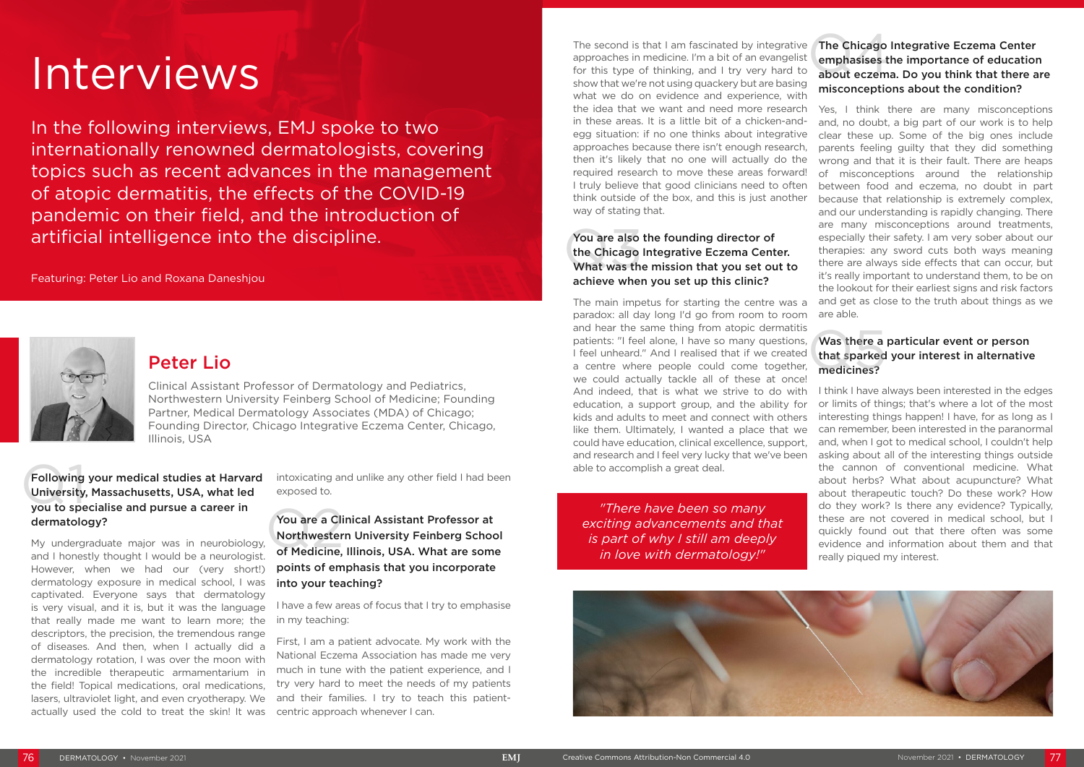The second is that I am fascinated by integrative The Chicago approaches in medicine. I'm a bit of an evangelist emphasises to for this type of thinking, and I try very hard to about eczem approaches in medicine. I'm a bit of an evangelist for this type of thinking, and I try very hard to show that we're not using quackery but are basing what we do on evidence and experience, with the idea that we want and need more research in these areas. It is a little bit of a chicken-andegg situation: if no one thinks about integrative approaches because there isn't enough research, then it's likely that no one will actually do the required research to move these areas forward! I truly believe that good clinicians need to often think outside of the box, and this is just another way of stating that.

#### You are also<br>the Chicago<br>What was the You are also the founding director of the Chicago Integrative Eczema Center. What was the mission that you set out to achieve when you set up this clinic?

#### Was there a particular event or person that sparked your interest in alternative medicines? Was there a<br>that sparked<br>medicines?

The main impetus for starting the centre was a paradox: all day long I'd go from room to room and hear the same thing from atopic dermatitis patients: "I feel alone, I have so many questions, I feel unheard." And I realised that if we created a centre where people could come together, we could actually tackle all of these at once! And indeed, that is what we strive to do with education, a support group, and the ability for kids and adults to meet and connect with others like them. Ultimately, I wanted a place that we could have education, clinical excellence, support, and research and I feel very lucky that we've been able to accomplish a great deal.

#### The Chicago Integrative Eczema Center emphasises the importance of education about eczema. Do you think that there are misconceptions about the condition?

## Following your medical studies at Harva<br>University, Massachusetts, USA, what led<br>you to specialise and pursue a career in Following your medical studies at Harvard University, Massachusetts, USA, what led dermatology?

Yes, I think there are many misconceptions and, no doubt, a big part of our work is to help clear these up. Some of the big ones include parents feeling guilty that they did something wrong and that it is their fault. There are heaps of misconceptions around the relationship between food and eczema, no doubt in part because that relationship is extremely complex, and our understanding is rapidly changing. There are many misconceptions around treatments, especially their safety. I am very sober about our therapies: any sword cuts both ways meaning there are always side effects that can occur, but it's really important to understand them, to be on the lookout for their earliest signs and risk factors and get as close to the truth about things as we are able.

## You are a Clinical Assistant Professor at<br>Northwestern University Feinberg School<br>of Medicine, Illinois, USA. What are some You are a Clinical Assistant Professor at Northwestern University Feinberg School points of emphasis that you incorporate into your teaching?

I think I have always been interested in the edges or limits of things; that's where a lot of the most interesting things happen! I have, for as long as I can remember, been interested in the paranormal and, when I got to medical school, I couldn't help asking about all of the interesting things outside the cannon of conventional medicine. What about herbs? What about acupuncture? What about therapeutic touch? Do these work? How do they work? Is there any evidence? Typically, these are not covered in medical school, but I quickly found out that there often was some evidence and information about them and that really piqued my interest.

*"There have been so many exciting advancements and that is part of why I still am deeply in love with dermatology!"*



# Peter Lio

Clinical Assistant Professor of Dermatology and Pediatrics, Northwestern University Feinberg School of Medicine; Founding Partner, Medical Dermatology Associates (MDA) of Chicago; Founding Director, Chicago Integrative Eczema Center, Chicago, Illinois, USA

# Interviews

In the following interviews, EMJ spoke to two internationally renowned dermatologists, covering topics such as recent advances in the management of atopic dermatitis, the effects of the COVID-19 pandemic on their field, and the introduction of artificial intelligence into the discipline.

Featuring: Peter Lio and Roxana Daneshjou



My undergraduate major was in neurobiology, and I honestly thought I would be a neurologist. However, when we had our (very short!) dermatology exposure in medical school, I was captivated. Everyone says that dermatology is very visual, and it is, but it was the language that really made me want to learn more; the descriptors, the precision, the tremendous range of diseases. And then, when I actually did a dermatology rotation, I was over the moon with the incredible therapeutic armamentarium in the field! Topical medications, oral medications, lasers, ultraviolet light, and even cryotherapy. We actually used the cold to treat the skin! It was

intoxicating and unlike any other field I had been exposed to.

I have a few areas of focus that I try to emphasise in my teaching:

First, I am a patient advocate. My work with the National Eczema Association has made me very much in tune with the patient experience, and I try very hard to meet the needs of my patients and their families. I try to teach this patientcentric approach whenever I can.